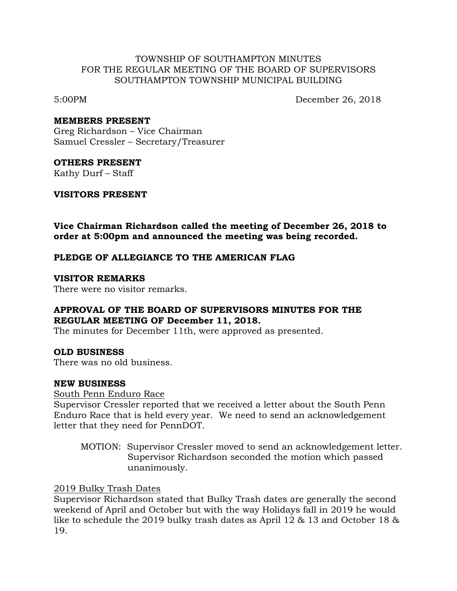#### TOWNSHIP OF SOUTHAMPTON MINUTES FOR THE REGULAR MEETING OF THE BOARD OF SUPERVISORS SOUTHAMPTON TOWNSHIP MUNICIPAL BUILDING

5:00PM December 26, 2018

#### **MEMBERS PRESENT**

Greg Richardson – Vice Chairman Samuel Cressler – Secretary/Treasurer

#### **OTHERS PRESENT**

Kathy Durf – Staff

#### **VISITORS PRESENT**

**Vice Chairman Richardson called the meeting of December 26, 2018 to order at 5:00pm and announced the meeting was being recorded.**

# **PLEDGE OF ALLEGIANCE TO THE AMERICAN FLAG**

#### **VISITOR REMARKS**

There were no visitor remarks.

# **APPROVAL OF THE BOARD OF SUPERVISORS MINUTES FOR THE REGULAR MEETING OF December 11, 2018.**

The minutes for December 11th, were approved as presented.

# **OLD BUSINESS**

There was no old business.

# **NEW BUSINESS**

#### South Penn Enduro Race

Supervisor Cressler reported that we received a letter about the South Penn Enduro Race that is held every year. We need to send an acknowledgement letter that they need for PennDOT.

MOTION: Supervisor Cressler moved to send an acknowledgement letter. Supervisor Richardson seconded the motion which passed unanimously.

# 2019 Bulky Trash Dates

Supervisor Richardson stated that Bulky Trash dates are generally the second weekend of April and October but with the way Holidays fall in 2019 he would like to schedule the 2019 bulky trash dates as April 12 & 13 and October 18 & 19.